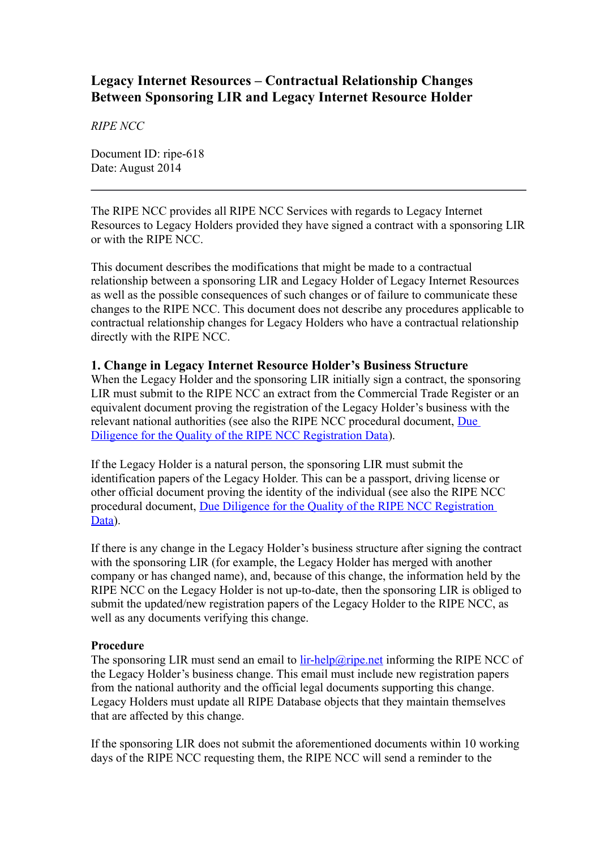# **Legacy Internet Resources – Contractual Relationship Changes Between Sponsoring LIR and Legacy Internet Resource Holder**

*RIPE NCC*

Document ID: ripe-618 Date: August 2014

The RIPE NCC provides all RIPE NCC Services with regards to Legacy Internet Resources to Legacy Holders provided they have signed a contract with a sponsoring LIR or with the RIPE NCC.

This document describes the modifications that might be made to a contractual relationship between a sponsoring LIR and Legacy Holder of Legacy Internet Resources as well as the possible consequences of such changes or of failure to communicate these changes to the RIPE NCC. This document does not describe any procedures applicable to contractual relationship changes for Legacy Holders who have a contractual relationship directly with the RIPE NCC.

#### **1. Change in Legacy Internet Resource Holder's Business Structure**

When the Legacy Holder and the sponsoring LIR initially sign a contract, the sponsoring LIR must submit to the RIPE NCC an extract from the Commercial Trade Register or an equivalent document proving the registration of the Legacy Holder's business with the relevant national authorities (see also the RIPE NCC procedural document, [Due](http://www.ripe.net/ripe/docs/due-diligence)  [Diligence for the Quality of the RIPE NCC Registration Data\)](http://www.ripe.net/ripe/docs/due-diligence).

If the Legacy Holder is a natural person, the sponsoring LIR must submit the identification papers of the Legacy Holder. This can be a passport, driving license or other official document proving the identity of the individual (see also the RIPE NCC procedural document, [Due Diligence for the Quality of the RIPE NCC Registration](http://www.ripe.net/ripe/docs/due-diligence)  [Data\)](http://www.ripe.net/ripe/docs/due-diligence).

If there is any change in the Legacy Holder's business structure after signing the contract with the sponsoring LIR (for example, the Legacy Holder has merged with another company or has changed name), and, because of this change, the information held by the RIPE NCC on the Legacy Holder is not up-to-date, then the sponsoring LIR is obliged to submit the updated/new registration papers of the Legacy Holder to the RIPE NCC, as well as any documents verifying this change.

#### **Procedure**

The sponsoring LIR must send an email to [lir-help@ripe.net](mailto:lir-help@ripe.net) informing the RIPE NCC of the Legacy Holder's business change. This email must include new registration papers from the national authority and the official legal documents supporting this change. Legacy Holders must update all RIPE Database objects that they maintain themselves that are affected by this change.

If the sponsoring LIR does not submit the aforementioned documents within 10 working days of the RIPE NCC requesting them, the RIPE NCC will send a reminder to the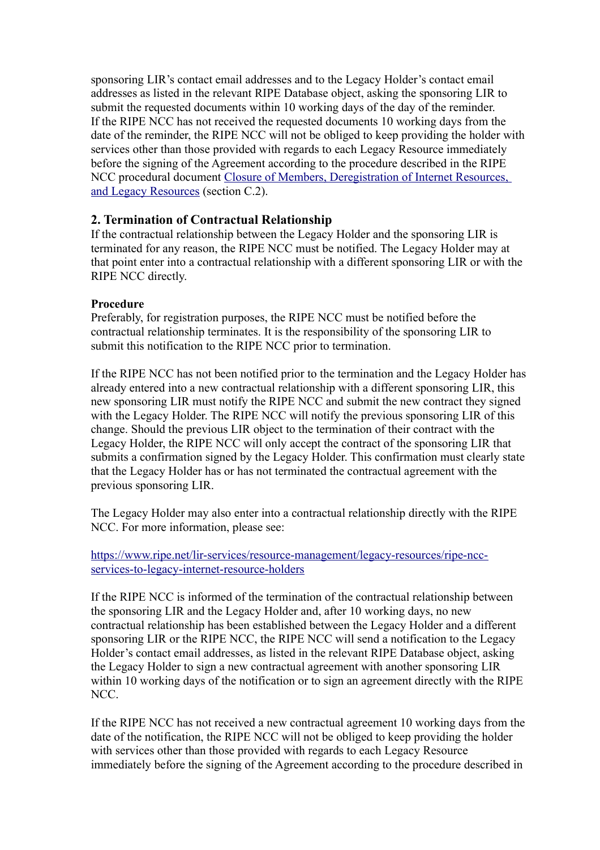sponsoring LIR's contact email addresses and to the Legacy Holder's contact email addresses as listed in the relevant RIPE Database object, asking the sponsoring LIR to submit the requested documents within 10 working days of the day of the reminder. If the RIPE NCC has not received the requested documents 10 working days from the date of the reminder, the RIPE NCC will not be obliged to keep providing the holder with services other than those provided with regards to each Legacy Resource immediately before the signing of the Agreement according to the procedure described in the RIPE NCC procedural document [Closure of Members, Deregistration of Internet Resources,](https://www.ripe.net/ripe/docs/closure)  [and Legacy Resources](https://www.ripe.net/ripe/docs/closure) (section C.2).

## **2. Termination of Contractual Relationship**

If the contractual relationship between the Legacy Holder and the sponsoring LIR is terminated for any reason, the RIPE NCC must be notified. The Legacy Holder may at that point enter into a contractual relationship with a different sponsoring LIR or with the RIPE NCC directly.

#### **Procedure**

Preferably, for registration purposes, the RIPE NCC must be notified before the contractual relationship terminates. It is the responsibility of the sponsoring LIR to submit this notification to the RIPE NCC prior to termination.

If the RIPE NCC has not been notified prior to the termination and the Legacy Holder has already entered into a new contractual relationship with a different sponsoring LIR, this new sponsoring LIR must notify the RIPE NCC and submit the new contract they signed with the Legacy Holder. The RIPE NCC will notify the previous sponsoring LIR of this change. Should the previous LIR object to the termination of their contract with the Legacy Holder, the RIPE NCC will only accept the contract of the sponsoring LIR that submits a confirmation signed by the Legacy Holder. This confirmation must clearly state that the Legacy Holder has or has not terminated the contractual agreement with the previous sponsoring LIR.

The Legacy Holder may also enter into a contractual relationship directly with the RIPE NCC. For more information, please see:

[https://www.ripe.net/lir-services/resource-management/legacy-resources/ripe-ncc](https://www.ripe.net/lir-services/resource-management/legacy-resources/ripe-ncc-services-to-legacy-internet-resource-holders)[services-to-legacy-internet-resource-holders](https://www.ripe.net/lir-services/resource-management/legacy-resources/ripe-ncc-services-to-legacy-internet-resource-holders)

If the RIPE NCC is informed of the termination of the contractual relationship between the sponsoring LIR and the Legacy Holder and, after 10 working days, no new contractual relationship has been established between the Legacy Holder and a different sponsoring LIR or the RIPE NCC, the RIPE NCC will send a notification to the Legacy Holder's contact email addresses, as listed in the relevant RIPE Database object, asking the Legacy Holder to sign a new contractual agreement with another sponsoring LIR within 10 working days of the notification or to sign an agreement directly with the RIPE NCC.

If the RIPE NCC has not received a new contractual agreement 10 working days from the date of the notification, the RIPE NCC will not be obliged to keep providing the holder with services other than those provided with regards to each Legacy Resource immediately before the signing of the Agreement according to the procedure described in